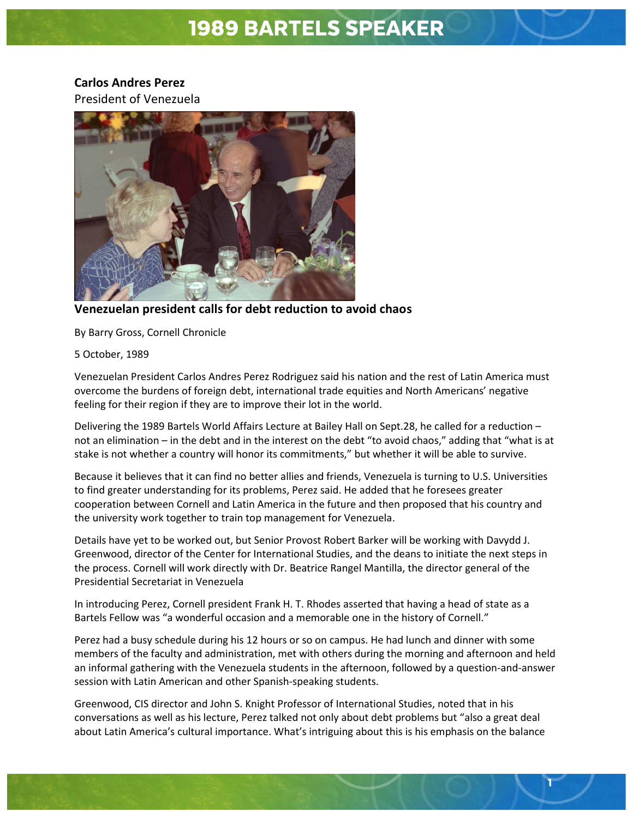## 1989 BARTELS SPEAKER

## **Carlos Andres Perez**

President of Venezuela



**Venezuelan president calls for debt reduction to avoid chaos**

By Barry Gross, Cornell Chronicle

5 October, 1989

Venezuelan President Carlos Andres Perez Rodriguez said his nation and the rest of Latin America must overcome the burdens of foreign debt, international trade equities and North Americans' negative feeling for their region if they are to improve their lot in the world.

Delivering the 1989 Bartels World Affairs Lecture at Bailey Hall on Sept.28, he called for a reduction – not an elimination – in the debt and in the interest on the debt "to avoid chaos," adding that "what is at stake is not whether a country will honor its commitments," but whether it will be able to survive.

Because it believes that it can find no better allies and friends, Venezuela is turning to U.S. Universities to find greater understanding for its problems, Perez said. He added that he foresees greater cooperation between Cornell and Latin America in the future and then proposed that his country and the university work together to train top management for Venezuela.

Details have yet to be worked out, but Senior Provost Robert Barker will be working with Davydd J. Greenwood, director of the Center for International Studies, and the deans to initiate the next steps in the process. Cornell will work directly with Dr. Beatrice Rangel Mantilla, the director general of the Presidential Secretariat in Venezuela

In introducing Perez, Cornell president Frank H. T. Rhodes asserted that having a head of state as a Bartels Fellow was "a wonderful occasion and a memorable one in the history of Cornell."

Perez had a busy schedule during his 12 hours or so on campus. He had lunch and dinner with some members of the faculty and administration, met with others during the morning and afternoon and held an informal gathering with the Venezuela students in the afternoon, followed by a question-and-answer session with Latin American and other Spanish-speaking students.

Greenwood, CIS director and John S. Knight Professor of International Studies, noted that in his conversations as well as his lecture, Perez talked not only about debt problems but "also a great deal about Latin America's cultural importance. What's intriguing about this is his emphasis on the balance

1